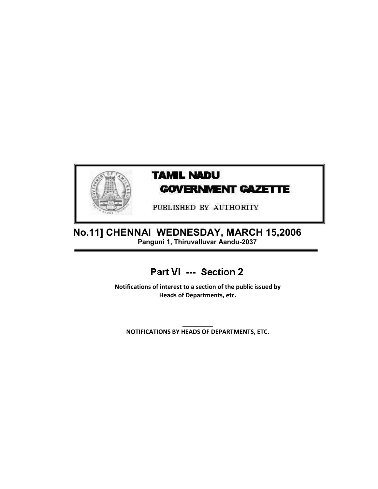

## **TAMIL NADU GOVERNMENT GAZETTE**

PUBLISHED BY AUTHORITY

 No.11] CHENNAI WEDNESDAY, MARCH 15,2006 Panguni 1, Thiruvalluvar Aandu-2037

### Part VI --- Section 2

Notifications of interest to a section of the public issued by Heads of Departments, etc.

\_\_\_\_\_\_\_\_\_ NOTIFICATIONS BY HEADS OF DEPARTMENTS, ETC.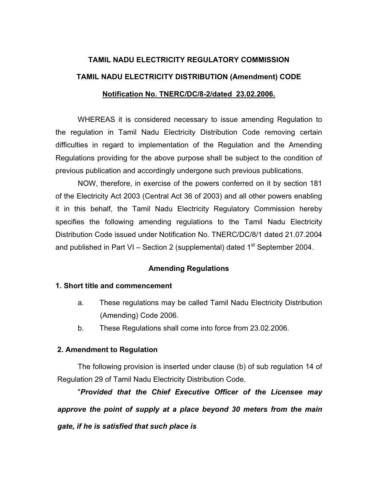# **TAMIL NADU ELECTRICITY REGULATORY COMMISSION TAMIL NADU ELECTRICITY DISTRIBUTION (Amendment) CODE Notification No. TNERC/DC/8-2/dated 23.02.2006.**

 WHEREAS it is considered necessary to issue amending Regulation to the regulation in Tamil Nadu Electricity Distribution Code removing certain difficulties in regard to implementation of the Regulation and the Amending Regulations providing for the above purpose shall be subject to the condition of previous publication and accordingly undergone such previous publications.

 NOW, therefore, in exercise of the powers conferred on it by section 181 of the Electricity Act 2003 (Central Act 36 of 2003) and all other powers enabling it in this behalf, the Tamil Nadu Electricity Regulatory Commission hereby specifies the following amending regulations to the Tamil Nadu Electricity Distribution Code issued under Notification No. TNERC/DC/8/1 dated 21.07.2004 and published in Part VI – Section 2 (supplemental) dated  $1<sup>st</sup>$  September 2004.

#### **Amending Regulations**

#### **1. Short title and commencement**

- a. These regulations may be called Tamil Nadu Electricity Distribution (Amending) Code 2006.
- b. These Regulations shall come into force from 23.02.2006.

#### **2. Amendment to Regulation**

The following provision is inserted under clause (b) of sub regulation 14 of Regulation 29 of Tamil Nadu Electricity Distribution Code.

 "*Provided that the Chief Executive Officer of the Licensee may approve the point of supply at a place beyond 30 meters from the main gate, if he is satisfied that such place is*